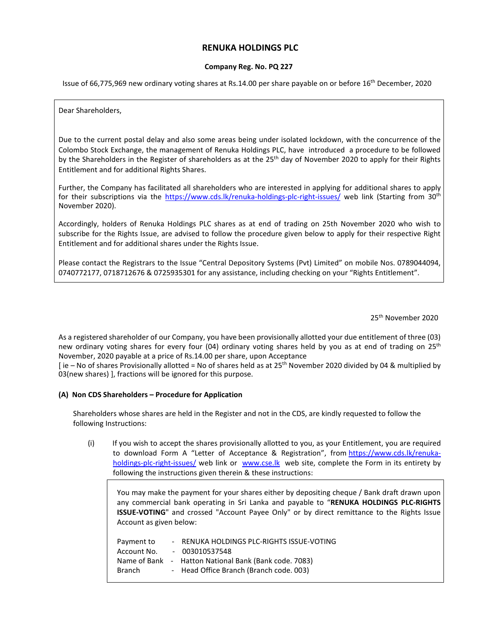# **RENUKA HOLDINGS PLC**

### **Company Reg. No. PQ 227**

Issue of 66,775,969 new ordinary voting shares at Rs.14.00 per share payable on or before 16th December, 2020

Dear Shareholders,

Due to the current postal delay and also some areas being under isolated lockdown, with the concurrence of the Colombo Stock Exchange, the management of Renuka Holdings PLC, have introduced a procedure to be followed by the Shareholders in the Register of shareholders as at the 25<sup>th</sup> day of November 2020 to apply for their Rights Entitlement and for additional Rights Shares.

Further, the Company has facilitated all shareholders who are interested in applying for additional shares to apply for their subscriptions via the https://www.cds.lk/renuka-holdings-plc-right-issues/ web link (Starting from 30<sup>th</sup> November 2020).

Accordingly, holders of Renuka Holdings PLC shares as at end of trading on 25th November 2020 who wish to subscribe for the Rights Issue, are advised to follow the procedure given below to apply for their respective Right Entitlement and for additional shares under the Rights Issue.

Please contact the Registrars to the Issue "Central Depository Systems (Pvt) Limited" on mobile Nos. 0789044094, 0740772177, 0718712676 & 0725935301 for any assistance, including checking on your "Rights Entitlement".

25th November 2020

As a registered shareholder of our Company, you have been provisionally allotted your due entitlement of three (03) new ordinary voting shares for every four (04) ordinary voting shares held by you as at end of trading on  $25<sup>th</sup>$ November, 2020 payable at a price of Rs.14.00 per share, upon Acceptance

 $\int$  ie – No of shares Provisionally allotted = No of shares held as at 25<sup>th</sup> November 2020 divided by 04 & multiplied by 03(new shares) ], fractions will be ignored for this purpose.

## **(A) Non CDS Shareholders – Procedure for Application**

Shareholders whose shares are held in the Register and not in the CDS, are kindly requested to follow the following Instructions:

(i) If you wish to accept the shares provisionally allotted to you, as your Entitlement, you are required to download Form A "Letter of Acceptance & Registration", from https://www.cds.lk/renukaholdings-plc-right-issues/ web link or www.cse.lk web site, complete the Form in its entirety by following the instructions given therein & these instructions:

You may make the payment for your shares either by depositing cheque / Bank draft drawn upon any commercial bank operating in Sri Lanka and payable to "**RENUKA HOLDINGS PLC-RIGHTS ISSUE-VOTING**" and crossed "Account Payee Only" or by direct remittance to the Rights Issue Account as given below:

| Payment to  | - RENUKA HOLDINGS PLC-RIGHTS ISSUE-VOTING             |
|-------------|-------------------------------------------------------|
| Account No. | $-003010537548$                                       |
|             | Name of Bank - Hatton National Bank (Bank code. 7083) |
| Branch      | - Head Office Branch (Branch code. 003)               |
|             |                                                       |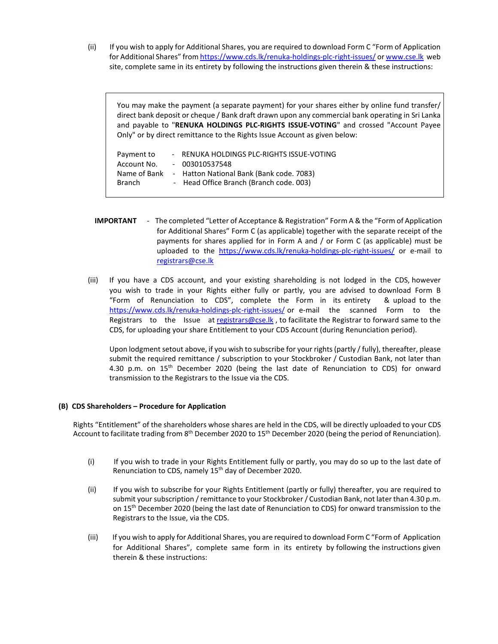(ii) If you wish to apply for Additional Shares, you are required to download Form C "Form of Application for Additional Shares" from https://www.cds.lk/renuka-holdings-plc-right-issues/ or www.cse.lk web site, complete same in its entirety by following the instructions given therein & these instructions:

You may make the payment (a separate payment) for your shares either by online fund transfer/ direct bank deposit or cheque / Bank draft drawn upon any commercial bank operating in Sri Lanka and payable to "**RENUKA HOLDINGS PLC-RIGHTS ISSUE-VOTING**" and crossed "Account Payee Only" or by direct remittance to the Rights Issue Account as given below:

| Payment to    | - RENUKA HOLDINGS PLC-RIGHTS ISSUE-VOTING |
|---------------|-------------------------------------------|
| Account No.   | $-003010537548$                           |
| Name of Bank  | - Hatton National Bank (Bank code. 7083)  |
| <b>Branch</b> | - Head Office Branch (Branch code. 003)   |
|               |                                           |

- **IMPORTANT**  The completed "Letter of Acceptance & Registration" Form A & the "Form of Application for Additional Shares" Form C (as applicable) together with the separate receipt of the payments for shares applied for in Form A and / or Form C (as applicable) must be uploaded to the https://www.cds.lk/renuka-holdings-plc-right-issues/ or e-mail to registrars@cse.lk
- (iii) If you have a CDS account, and your existing shareholding is not lodged in the CDS, however you wish to trade in your Rights either fully or partly, you are advised to download Form B "Form of Renunciation to CDS", complete the Form in its entirety & upload to the https://www.cds.lk/renuka-holdings-plc-right-issues/ or e-mail the scanned Form to the Registrars to the Issue at registrars@cse.lk, to facilitate the Registrar to forward same to the CDS, for uploading your share Entitlement to your CDS Account (during Renunciation period).

Upon lodgment setout above, if you wish to subscribe for your rights (partly / fully), thereafter, please submit the required remittance / subscription to your Stockbroker / Custodian Bank, not later than 4.30 p.m. on  $15<sup>th</sup>$  December 2020 (being the last date of Renunciation to CDS) for onward transmission to the Registrars to the Issue via the CDS.

## **(B) CDS Shareholders – Procedure for Application**

Rights "Entitlement" of the shareholders whose shares are held in the CDS, will be directly uploaded to your CDS Account to facilitate trading from 8<sup>th</sup> December 2020 to 15<sup>th</sup> December 2020 (being the period of Renunciation).

- (i) If you wish to trade in your Rights Entitlement fully or partly, you may do so up to the last date of Renunciation to CDS, namely 15<sup>th</sup> day of December 2020.
- (ii) If you wish to subscribe for your Rights Entitlement (partly or fully) thereafter, you are required to submit your subscription / remittance to your Stockbroker / Custodian Bank, not later than 4.30 p.m. on 15<sup>th</sup> December 2020 (being the last date of Renunciation to CDS) for onward transmission to the Registrars to the Issue, via the CDS.
- (iii) If you wish to apply for Additional Shares, you are required to download Form C "Form of Application for Additional Shares", complete same form in its entirety by following the instructions given therein & these instructions: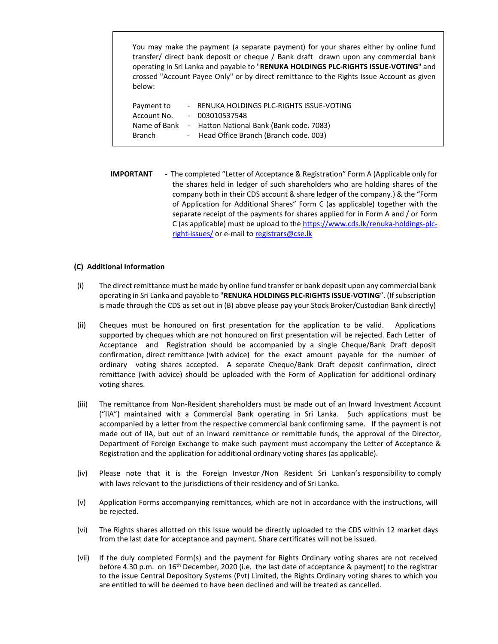You may make the payment (a separate payment) for your shares either by online fund transfer/ direct bank deposit or cheque / Bank draft drawn upon any commercial bank operating in Sri Lanka and payable to "**RENUKA HOLDINGS PLC-RIGHTS ISSUE-VOTING**" and crossed "Account Payee Only" or by direct remittance to the Rights Issue Account as given below:

| Payment to    | - RENUKA HOLDINGS PLC-RIGHTS ISSUE-VOTING |
|---------------|-------------------------------------------|
| Account No.   | $-003010537548$                           |
| Name of Bank  | - Hatton National Bank (Bank code. 7083)  |
| <b>Branch</b> | - Head Office Branch (Branch code. 003)   |

**IMPORTANT** - The completed "Letter of Acceptance & Registration" Form A (Applicable only for the shares held in ledger of such shareholders who are holding shares of the company both in their CDS account & share ledger of the company.) & the "Form of Application for Additional Shares" Form C (as applicable) together with the separate receipt of the payments for shares applied for in Form A and / or Form C (as applicable) must be upload to the https://www.cds.lk/renuka-holdings-plcright-issues/ or e-mail to registrars@cse.lk

### **(C) Additional Information**

- (i) The direct remittance must be made by online fund transfer or bank deposit upon any commercial bank operating in Sri Lanka and payable to "**RENUKA HOLDINGS PLC-RIGHTS ISSUE-VOTING**". (If subscription is made through the CDS as set out in (B) above please pay your Stock Broker/Custodian Bank directly)
- (ii) Cheques must be honoured on first presentation for the application to be valid. Applications supported by cheques which are not honoured on first presentation will be rejected. Each Letter of Acceptance and Registration should be accompanied by a single Cheque/Bank Draft deposit confirmation, direct remittance (with advice) for the exact amount payable for the number of ordinary voting shares accepted. A separate Cheque/Bank Draft deposit confirmation, direct remittance (with advice) should be uploaded with the Form of Application for additional ordinary voting shares.
- (iii) The remittance from Non-Resident shareholders must be made out of an Inward Investment Account ("IIA") maintained with a Commercial Bank operating in Sri Lanka. Such applications must be accompanied by a letter from the respective commercial bank confirming same. If the payment is not made out of IIA, but out of an inward remittance or remittable funds, the approval of the Director, Department of Foreign Exchange to make such payment must accompany the Letter of Acceptance & Registration and the application for additional ordinary voting shares (as applicable).
- (iv) Please note that it is the Foreign Investor /Non Resident Sri Lankan's responsibility to comply with laws relevant to the jurisdictions of their residency and of Sri Lanka.
- (v) Application Forms accompanying remittances, which are not in accordance with the instructions, will be rejected.
- (vi) The Rights shares allotted on this Issue would be directly uploaded to the CDS within 12 market days from the last date for acceptance and payment. Share certificates will not be issued.
- (vii) If the duly completed Form(s) and the payment for Rights Ordinary voting shares are not received before 4.30 p.m. on 16<sup>th</sup> December, 2020 (i.e. the last date of acceptance & payment) to the registrar to the issue Central Depository Systems (Pvt) Limited, the Rights Ordinary voting shares to which you are entitled to will be deemed to have been declined and will be treated as cancelled.